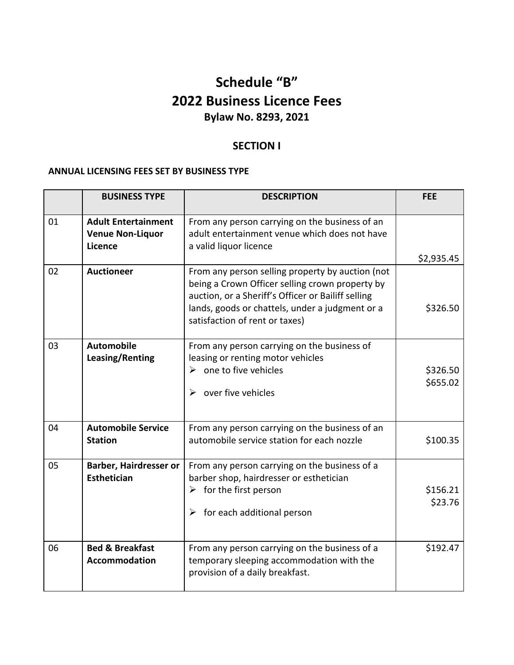# **Schedule "B" 2022 Business Licence Fees Bylaw No. 8293, 2021**

# **SECTION I**

## **ANNUAL LICENSING FEES SET BY BUSINESS TYPE**

|    | <b>BUSINESS TYPE</b>                                             | <b>DESCRIPTION</b>                                                                                                                                                                                                                             | <b>FEE</b>           |
|----|------------------------------------------------------------------|------------------------------------------------------------------------------------------------------------------------------------------------------------------------------------------------------------------------------------------------|----------------------|
| 01 | <b>Adult Entertainment</b><br><b>Venue Non-Liquor</b><br>Licence | From any person carrying on the business of an<br>adult entertainment venue which does not have<br>a valid liquor licence                                                                                                                      | \$2,935.45           |
| 02 | <b>Auctioneer</b>                                                | From any person selling property by auction (not<br>being a Crown Officer selling crown property by<br>auction, or a Sheriff's Officer or Bailiff selling<br>lands, goods or chattels, under a judgment or a<br>satisfaction of rent or taxes) | \$326.50             |
| 03 | <b>Automobile</b><br>Leasing/Renting                             | From any person carrying on the business of<br>leasing or renting motor vehicles<br>$\triangleright$ one to five vehicles<br>over five vehicles<br>≻                                                                                           | \$326.50<br>\$655.02 |
| 04 | <b>Automobile Service</b><br><b>Station</b>                      | From any person carrying on the business of an<br>automobile service station for each nozzle                                                                                                                                                   | \$100.35             |
| 05 | Barber, Hairdresser or<br><b>Esthetician</b>                     | From any person carrying on the business of a<br>barber shop, hairdresser or esthetician<br>$\triangleright$ for the first person<br>$\triangleright$ for each additional person                                                               | \$156.21<br>\$23.76  |
| 06 | <b>Bed &amp; Breakfast</b><br><b>Accommodation</b>               | From any person carrying on the business of a<br>temporary sleeping accommodation with the<br>provision of a daily breakfast.                                                                                                                  | \$192.47             |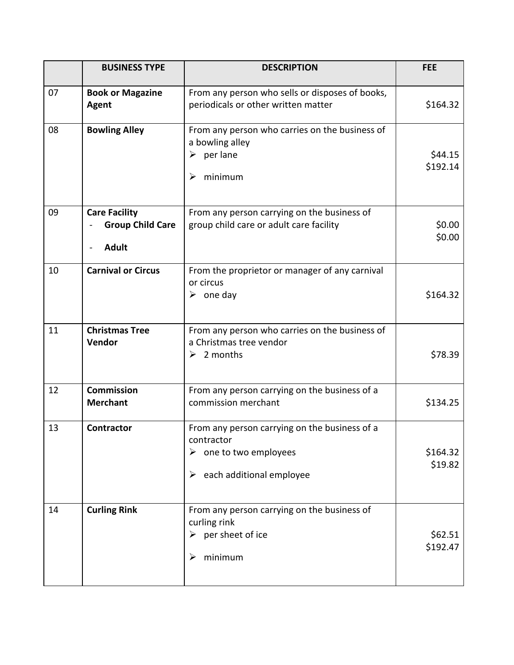|    | <b>BUSINESS TYPE</b>                                            | <b>DESCRIPTION</b>                                                                                                                    | <b>FEE</b>          |
|----|-----------------------------------------------------------------|---------------------------------------------------------------------------------------------------------------------------------------|---------------------|
| 07 | <b>Book or Magazine</b><br>Agent                                | From any person who sells or disposes of books,<br>periodicals or other written matter                                                | \$164.32            |
| 08 | <b>Bowling Alley</b>                                            | From any person who carries on the business of<br>a bowling alley<br>$\triangleright$ per lane<br>minimum<br>➤                        | \$44.15<br>\$192.14 |
| 09 | <b>Care Facility</b><br><b>Group Child Care</b><br><b>Adult</b> | From any person carrying on the business of<br>group child care or adult care facility                                                | \$0.00<br>\$0.00    |
| 10 | <b>Carnival or Circus</b>                                       | From the proprietor or manager of any carnival<br>or circus<br>$\triangleright$ one day                                               | \$164.32            |
| 11 | <b>Christmas Tree</b><br>Vendor                                 | From any person who carries on the business of<br>a Christmas tree vendor<br>$\geq$ 2 months                                          | \$78.39             |
| 12 | <b>Commission</b><br><b>Merchant</b>                            | From any person carrying on the business of a<br>commission merchant                                                                  | \$134.25            |
| 13 | <b>Contractor</b>                                               | From any person carrying on the business of a<br>contractor<br>$\triangleright$ one to two employees<br>each additional employee<br>➤ | \$164.32<br>\$19.82 |
| 14 | <b>Curling Rink</b>                                             | From any person carrying on the business of<br>curling rink<br>$\triangleright$ per sheet of ice<br>minimum<br>➤                      | \$62.51<br>\$192.47 |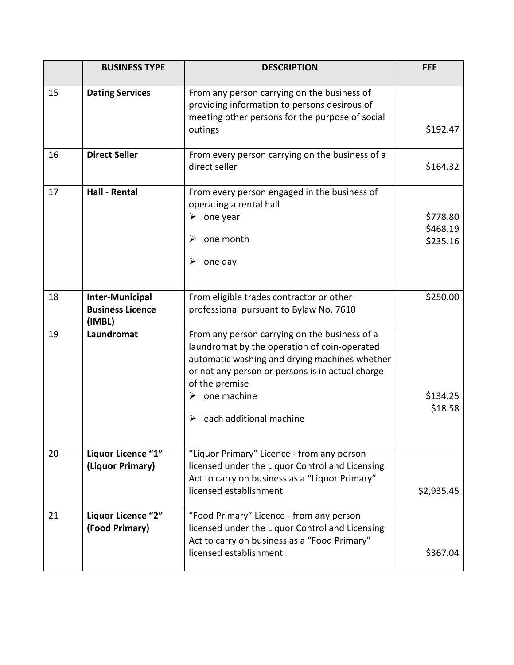|    | <b>BUSINESS TYPE</b>                                        | <b>DESCRIPTION</b>                                                                                                                                                                                                                                                                   | <b>FEE</b>                       |
|----|-------------------------------------------------------------|--------------------------------------------------------------------------------------------------------------------------------------------------------------------------------------------------------------------------------------------------------------------------------------|----------------------------------|
| 15 | <b>Dating Services</b>                                      | From any person carrying on the business of<br>providing information to persons desirous of<br>meeting other persons for the purpose of social<br>outings                                                                                                                            | \$192.47                         |
| 16 | <b>Direct Seller</b>                                        | From every person carrying on the business of a<br>direct seller                                                                                                                                                                                                                     | \$164.32                         |
| 17 | <b>Hall - Rental</b>                                        | From every person engaged in the business of<br>operating a rental hall<br>one year<br>➤<br>one month<br>➤<br>one day<br>➤                                                                                                                                                           | \$778.80<br>\$468.19<br>\$235.16 |
| 18 | <b>Inter-Municipal</b><br><b>Business Licence</b><br>(IMBL) | From eligible trades contractor or other<br>professional pursuant to Bylaw No. 7610                                                                                                                                                                                                  | \$250.00                         |
| 19 | Laundromat                                                  | From any person carrying on the business of a<br>laundromat by the operation of coin-operated<br>automatic washing and drying machines whether<br>or not any person or persons is in actual charge<br>of the premise<br>$\triangleright$ one machine<br>each additional machine<br>➤ | \$134.25<br>\$18.58              |
| 20 | Liquor Licence "1"<br>(Liquor Primary)                      | "Liquor Primary" Licence - from any person<br>licensed under the Liquor Control and Licensing<br>Act to carry on business as a "Liquor Primary"<br>licensed establishment                                                                                                            | \$2,935.45                       |
| 21 | Liquor Licence "2"<br>(Food Primary)                        | "Food Primary" Licence - from any person<br>licensed under the Liquor Control and Licensing<br>Act to carry on business as a "Food Primary"<br>licensed establishment                                                                                                                | \$367.04                         |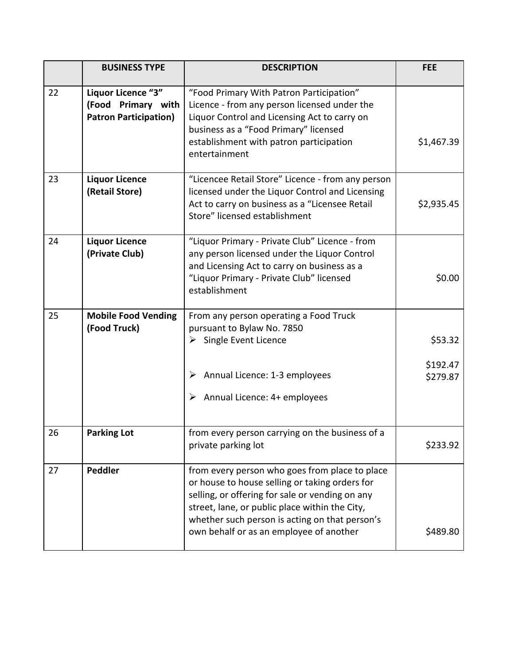|    | <b>BUSINESS TYPE</b>                                                     | <b>DESCRIPTION</b>                                                                                                                                                                                                                                                                                 | <b>FEE</b>                      |
|----|--------------------------------------------------------------------------|----------------------------------------------------------------------------------------------------------------------------------------------------------------------------------------------------------------------------------------------------------------------------------------------------|---------------------------------|
| 22 | Liquor Licence "3"<br>(Food Primary with<br><b>Patron Participation)</b> | "Food Primary With Patron Participation"<br>Licence - from any person licensed under the<br>Liquor Control and Licensing Act to carry on<br>business as a "Food Primary" licensed<br>establishment with patron participation<br>entertainment                                                      | \$1,467.39                      |
| 23 | <b>Liquor Licence</b><br>(Retail Store)                                  | "Licencee Retail Store" Licence - from any person<br>licensed under the Liquor Control and Licensing<br>Act to carry on business as a "Licensee Retail<br>Store" licensed establishment                                                                                                            | \$2,935.45                      |
| 24 | <b>Liquor Licence</b><br>(Private Club)                                  | "Liquor Primary - Private Club" Licence - from<br>any person licensed under the Liquor Control<br>and Licensing Act to carry on business as a<br>"Liquor Primary - Private Club" licensed<br>establishment                                                                                         | \$0.00                          |
| 25 | <b>Mobile Food Vending</b><br>(Food Truck)                               | From any person operating a Food Truck<br>pursuant to Bylaw No. 7850<br>$\triangleright$ Single Event Licence<br>Annual Licence: 1-3 employees<br>➤<br>Annual Licence: 4+ employees<br>➤                                                                                                           | \$53.32<br>\$192.47<br>\$279.87 |
| 26 | <b>Parking Lot</b>                                                       | from every person carrying on the business of a<br>private parking lot                                                                                                                                                                                                                             | \$233.92                        |
| 27 | <b>Peddler</b>                                                           | from every person who goes from place to place<br>or house to house selling or taking orders for<br>selling, or offering for sale or vending on any<br>street, lane, or public place within the City,<br>whether such person is acting on that person's<br>own behalf or as an employee of another | \$489.80                        |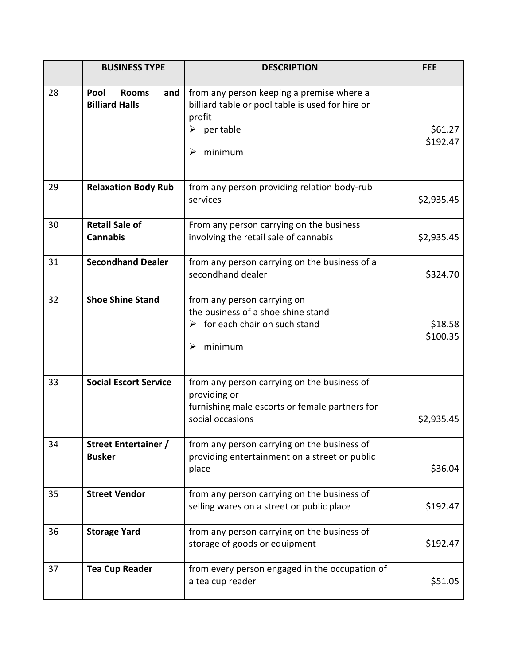|    | <b>BUSINESS TYPE</b>                                 | <b>DESCRIPTION</b>                                                                                                                                    | <b>FEE</b>          |
|----|------------------------------------------------------|-------------------------------------------------------------------------------------------------------------------------------------------------------|---------------------|
| 28 | Pool<br><b>Rooms</b><br>and<br><b>Billiard Halls</b> | from any person keeping a premise where a<br>billiard table or pool table is used for hire or<br>profit<br>$\triangleright$ per table<br>minimum<br>➤ | \$61.27<br>\$192.47 |
| 29 | <b>Relaxation Body Rub</b>                           | from any person providing relation body-rub<br>services                                                                                               | \$2,935.45          |
| 30 | <b>Retail Sale of</b><br><b>Cannabis</b>             | From any person carrying on the business<br>involving the retail sale of cannabis                                                                     | \$2,935.45          |
| 31 | <b>Secondhand Dealer</b>                             | from any person carrying on the business of a<br>secondhand dealer                                                                                    | \$324.70            |
| 32 | <b>Shoe Shine Stand</b>                              | from any person carrying on<br>the business of a shoe shine stand<br>$\triangleright$ for each chair on such stand<br>minimum<br>➤                    | \$18.58<br>\$100.35 |
| 33 | <b>Social Escort Service</b>                         | from any person carrying on the business of<br>providing or<br>furnishing male escorts or female partners for<br>social occasions                     | \$2,935.45          |
| 34 | <b>Street Entertainer /</b><br><b>Busker</b>         | from any person carrying on the business of<br>providing entertainment on a street or public<br>place                                                 | \$36.04             |
| 35 | <b>Street Vendor</b>                                 | from any person carrying on the business of<br>selling wares on a street or public place                                                              | \$192.47            |
| 36 | <b>Storage Yard</b>                                  | from any person carrying on the business of<br>storage of goods or equipment                                                                          | \$192.47            |
| 37 | <b>Tea Cup Reader</b>                                | from every person engaged in the occupation of<br>a tea cup reader                                                                                    | \$51.05             |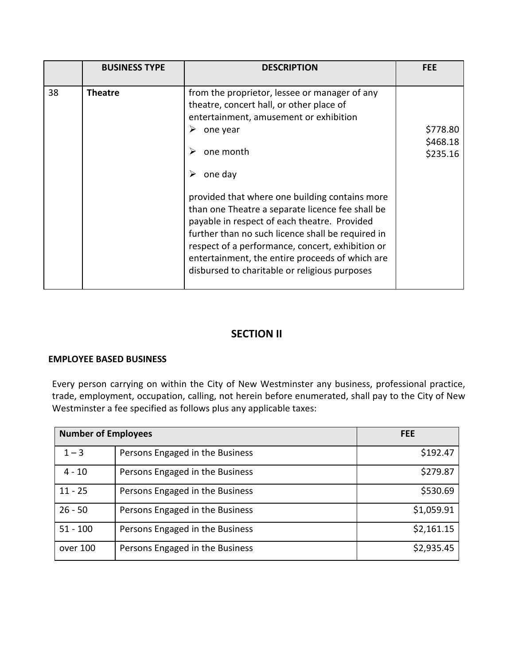| 38<br>from the proprietor, lessee or manager of any<br><b>Theatre</b><br>theatre, concert hall, or other place of<br>entertainment, amusement or exhibition<br>➤<br>one year                                                                                                                                                                                                                      | <b>BUSINESS TYPE</b> | <b>DESCRIPTION</b> | <b>FEE</b>                       |
|---------------------------------------------------------------------------------------------------------------------------------------------------------------------------------------------------------------------------------------------------------------------------------------------------------------------------------------------------------------------------------------------------|----------------------|--------------------|----------------------------------|
| one month<br>➤<br>one day<br>➤<br>provided that where one building contains more<br>than one Theatre a separate licence fee shall be<br>payable in respect of each theatre. Provided<br>further than no such licence shall be required in<br>respect of a performance, concert, exhibition or<br>entertainment, the entire proceeds of which are<br>disbursed to charitable or religious purposes |                      |                    | \$778.80<br>\$468.18<br>\$235.16 |

## **SECTION II**

### **EMPLOYEE BASED BUSINESS**

Every person carrying on within the City of New Westminster any business, professional practice, trade, employment, occupation, calling, not herein before enumerated, shall pay to the City of New Westminster a fee specified as follows plus any applicable taxes:

| <b>Number of Employees</b> |                                 | <b>FEE</b> |
|----------------------------|---------------------------------|------------|
| $1 - 3$                    | Persons Engaged in the Business | \$192.47   |
| $4 - 10$                   | Persons Engaged in the Business | \$279.87   |
| $11 - 25$                  | Persons Engaged in the Business | \$530.69   |
| $26 - 50$                  | Persons Engaged in the Business | \$1,059.91 |
| $51 - 100$                 | Persons Engaged in the Business | \$2,161.15 |
| over 100                   | Persons Engaged in the Business | \$2,935.45 |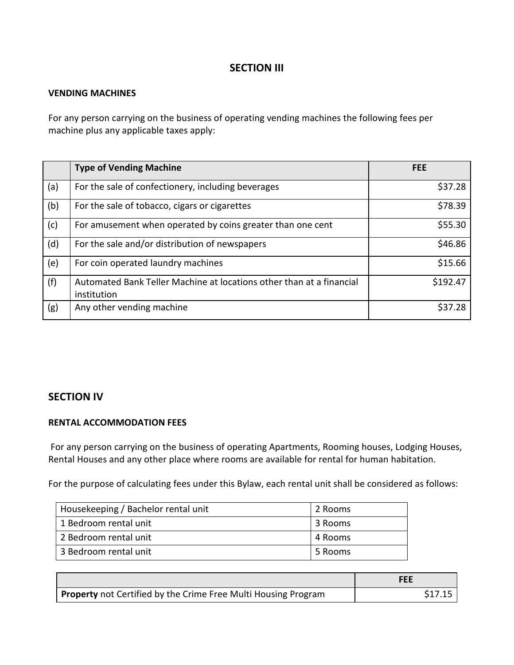## **SECTION III**

#### **VENDING MACHINES**

For any person carrying on the business of operating vending machines the following fees per machine plus any applicable taxes apply:

|     | <b>Type of Vending Machine</b>                                                      | <b>FEE</b> |
|-----|-------------------------------------------------------------------------------------|------------|
| (a) | For the sale of confectionery, including beverages                                  | \$37.28    |
| (b) | For the sale of tobacco, cigars or cigarettes                                       | \$78.39    |
| (c) | For amusement when operated by coins greater than one cent                          | \$55.30    |
| (d) | For the sale and/or distribution of newspapers                                      | \$46.86    |
| (e) | For coin operated laundry machines                                                  | \$15.66    |
| (f) | Automated Bank Teller Machine at locations other than at a financial<br>institution | \$192.47   |
| (g) | Any other vending machine                                                           | \$37.28    |

## **SECTION IV**

### **RENTAL ACCOMMODATION FEES**

For any person carrying on the business of operating Apartments, Rooming houses, Lodging Houses, Rental Houses and any other place where rooms are available for rental for human habitation.

For the purpose of calculating fees under this Bylaw, each rental unit shall be considered as follows:

| Housekeeping / Bachelor rental unit | 2 Rooms |
|-------------------------------------|---------|
| 1 Bedroom rental unit               | 3 Rooms |
| 2 Bedroom rental unit               | 4 Rooms |
| 3 Bedroom rental unit               | 5 Rooms |

|                                                                       | FEE     |
|-----------------------------------------------------------------------|---------|
| <b>Property</b> not Certified by the Crime Free Multi Housing Program | \$17.15 |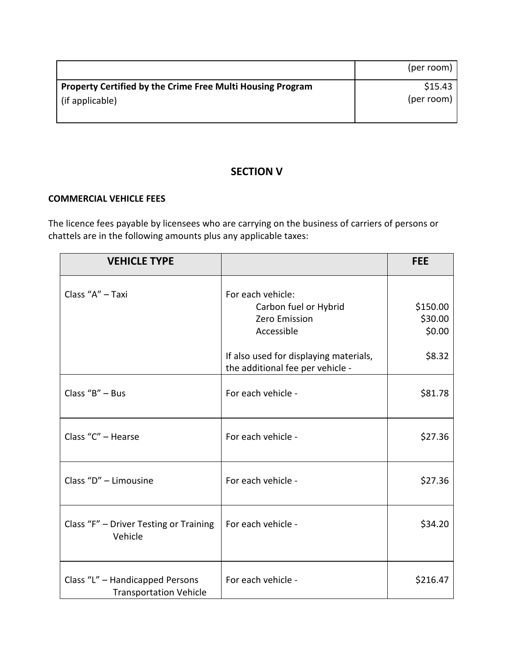|                                                                   | (per room) |
|-------------------------------------------------------------------|------------|
| <b>Property Certified by the Crime Free Multi Housing Program</b> | \$15.43    |
| $\vert$ (if applicable)                                           | (per room) |

# **SECTION V**

### **COMMERCIAL VEHICLE FEES**

The licence fees payable by licensees who are carrying on the business of carriers of persons or chattels are in the following amounts plus any applicable taxes:

| <b>VEHICLE TYPE</b>                                              |                                                                                  | <b>FEE</b>                    |
|------------------------------------------------------------------|----------------------------------------------------------------------------------|-------------------------------|
| Class "A" - Taxi                                                 | For each vehicle:<br>Carbon fuel or Hybrid<br><b>Zero Emission</b><br>Accessible | \$150.00<br>\$30.00<br>\$0.00 |
|                                                                  | If also used for displaying materials,<br>the additional fee per vehicle -       | \$8.32                        |
| Class " $B" - Bus$                                               | For each vehicle -                                                               | \$81.78                       |
| Class "C" - Hearse                                               | For each vehicle -                                                               | \$27.36                       |
| Class "D" - Limousine                                            | For each vehicle -                                                               | \$27.36                       |
| Class "F" - Driver Testing or Training<br>Vehicle                | For each vehicle -                                                               | \$34.20                       |
| Class "L" - Handicapped Persons<br><b>Transportation Vehicle</b> | For each vehicle -                                                               | \$216.47                      |